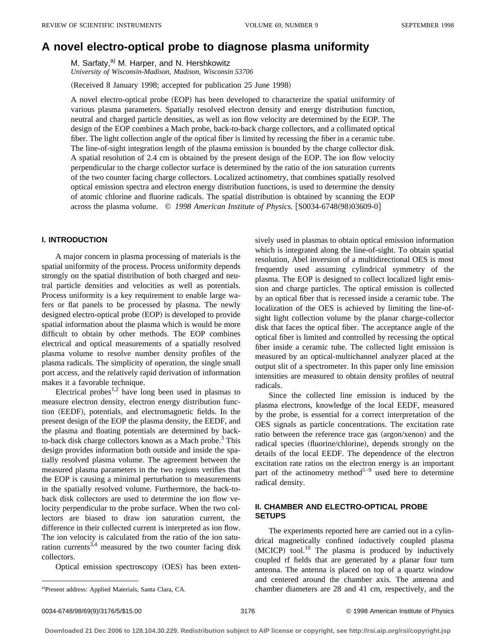# **A novel electro-optical probe to diagnose plasma uniformity**

M. Sarfaty,<sup>a)</sup> M. Harper, and N. Hershkowitz *University of Wisconsin-Madison, Madison, Wisconsin 53706*

(Received 8 January 1998; accepted for publication 25 June 1998)

A novel electro-optical probe (EOP) has been developed to characterize the spatial uniformity of various plasma parameters. Spatially resolved electron density and energy distribution function, neutral and charged particle densities, as well as ion flow velocity are determined by the EOP. The design of the EOP combines a Mach probe, back-to-back charge collectors, and a collimated optical fiber. The light collection angle of the optical fiber is limited by recessing the fiber in a ceramic tube. The line-of-sight integration length of the plasma emission is bounded by the charge collector disk. A spatial resolution of 2.4 cm is obtained by the present design of the EOP. The ion flow velocity perpendicular to the charge collector surface is determined by the ratio of the ion saturation currents of the two counter facing charge collectors. Localized actinometry, that combines spatially resolved optical emission spectra and electron energy distribution functions, is used to determine the density of atomic chlorine and fluorine radicals. The spatial distribution is obtained by scanning the EOP across the plasma volume. © 1998 American Institute of Physics. [S0034-6748(98)03609-0]

## **I. INTRODUCTION**

A major concern in plasma processing of materials is the spatial uniformity of the process. Process uniformity depends strongly on the spatial distribution of both charged and neutral particle densities and velocities as well as potentials. Process uniformity is a key requirement to enable large wafers or flat panels to be processed by plasma. The newly designed electro-optical probe (EOP) is developed to provide spatial information about the plasma which is would be more difficult to obtain by other methods. The EOP combines electrical and optical measurements of a spatially resolved plasma volume to resolve number density profiles of the plasma radicals. The simplicity of operation, the single small port access, and the relatively rapid derivation of information makes it a favorable technique.

Electrical probes $1,2$  have long been used in plasmas to measure electron density, electron energy distribution function (EEDF), potentials, and electromagnetic fields. In the present design of the EOP the plasma density, the EEDF, and the plasma and floating potentials are determined by backto-back disk charge collectors known as a Mach probe.<sup>3</sup> This design provides information both outside and inside the spatially resolved plasma volume. The agreement between the measured plasma parameters in the two regions verifies that the EOP is causing a minimal perturbation to measurements in the spatially resolved volume. Furthermore, the back-toback disk collectors are used to determine the ion flow velocity perpendicular to the probe surface. When the two collectors are biased to draw ion saturation current, the difference in their collected current is interpreted as ion flow. The ion velocity is calculated from the ratio of the ion saturation currents<sup>3,4</sup> measured by the two counter facing disk collectors.

Optical emission spectroscopy (OES) has been exten-

sively used in plasmas to obtain optical emission information which is integrated along the line-of-sight. To obtain spatial resolution, Abel inversion of a multidirectional OES is most frequently used assuming cylindrical symmetry of the plasma. The EOP is designed to collect localized light emission and charge particles. The optical emission is collected by an optical fiber that is recessed inside a ceramic tube. The localization of the OES is achieved by limiting the line-ofsight light collection volume by the planar charge-collector disk that faces the optical fiber. The acceptance angle of the optical fiber is limited and controlled by recessing the optical fiber inside a ceramic tube. The collected light emission is measured by an optical-multichannel analyzer placed at the output slit of a spectrometer. In this paper only line emission intensities are measured to obtain density profiles of neutral radicals.

Since the collected line emission is induced by the plasma electrons, knowledge of the local EEDF, measured by the probe, is essential for a correct interpretation of the OES signals as particle concentrations. The excitation rate ratio between the reference trace gas (argon/xenon) and the radical species (fluorine/chlorine), depends strongly on the details of the local EEDF. The dependence of the electron excitation rate ratios on the electron energy is an important part of the actinometry method $5-9$  used here to determine radical density.

## **II. CHAMBER AND ELECTRO-OPTICAL PROBE SETUPS**

The experiments reported here are carried out in a cylindrical magnetically confined inductively coupled plasma  $(MCICP)$  tool.<sup>10</sup> The plasma is produced by inductively coupled rf fields that are generated by a planar four turn antenna. The antenna is placed on top of a quartz window and centered around the chamber axis. The antenna and chamber diameters are  $28$  and  $41$  cm, respectively, and the

a)Present address: Applied Materials, Santa Clara, CA.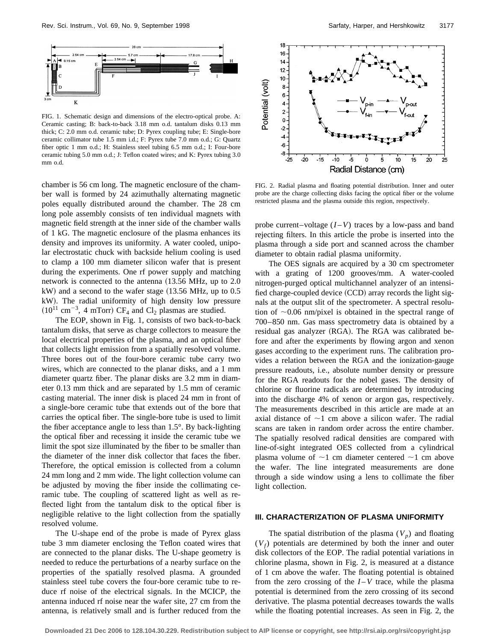

FIG. 1. Schematic design and dimensions of the electro-optical probe. A: Ceramic casting; B: back-to-back 3.18 mm o.d. tantalum disks 0.13 mm thick; C: 2.0 mm o.d. ceramic tube; D: Pyrex coupling tube; E: Single-bore ceramic collimator tube 1.5 mm i.d.; F: Pyrex tube 7.0 mm o.d.; G: Quartz fiber optic 1 mm o.d.; H: Stainless steel tubing 6.5 mm o.d.; I: Four-bore ceramic tubing 5.0 mm o.d.; J: Teflon coated wires; and K: Pyrex tubing 3.0 mm o.d.

chamber is 56 cm long. The magnetic enclosure of the chamber wall is formed by 24 azimuthally alternating magnetic poles equally distributed around the chamber. The 28 cm long pole assembly consists of ten individual magnets with magnetic field strength at the inner side of the chamber walls of 1 kG. The magnetic enclosure of the plasma enhances its density and improves its uniformity. A water cooled, unipolar electrostatic chuck with backside helium cooling is used to clamp a 100 mm diameter silicon wafer that is present during the experiments. One rf power supply and matching network is connected to the antenna  $(13.56 \text{ MHz}, \text{up to } 2.0)$ kW) and a second to the wafer stage  $(13.56 \text{ MHz}, \text{up to } 0.5)$ kW). The radial uniformity of high density low pressure  $(10^{11} \text{ cm}^{-3}, 4 \text{ mTorr}) \text{ CF}_4$  and  $\text{Cl}_2$  plasmas are studied.

The EOP, shown in Fig. 1, consists of two back-to-back tantalum disks, that serve as charge collectors to measure the local electrical properties of the plasma, and an optical fiber that collects light emission from a spatially resolved volume. Three bores out of the four-bore ceramic tube carry two wires, which are connected to the planar disks, and a 1 mm diameter quartz fiber. The planar disks are 3.2 mm in diameter 0.13 mm thick and are separated by 1.5 mm of ceramic casting material. The inner disk is placed 24 mm in front of a single-bore ceramic tube that extends out of the bore that carries the optical fiber. The single-bore tube is used to limit the fiber acceptance angle to less than 1.5°. By back-lighting the optical fiber and recessing it inside the ceramic tube we limit the spot size illuminated by the fiber to be smaller than the diameter of the inner disk collector that faces the fiber. Therefore, the optical emission is collected from a column 24 mm long and 2 mm wide. The light collection volume can be adjusted by moving the fiber inside the collimating ceramic tube. The coupling of scattered light as well as reflected light from the tantalum disk to the optical fiber is negligible relative to the light collection from the spatially resolved volume.

The U-shape end of the probe is made of Pyrex glass tube 3 mm diameter enclosing the Teflon coated wires that are connected to the planar disks. The U-shape geometry is needed to reduce the perturbations of a nearby surface on the properties of the spatially resolved plasma. A grounded stainless steel tube covers the four-bore ceramic tube to reduce rf noise of the electrical signals. In the MCICP, the antenna induced rf noise near the wafer site, 27 cm from the antenna, is relatively small and is further reduced from the



FIG. 2. Radial plasma and floating potential distribution. Inner and outer probe are the charge collecting disks facing the optical fiber or the volume restricted plasma and the plasma outside this region, respectively.

probe current–voltage  $(I-V)$  traces by a low-pass and band rejecting filters. In this article the probe is inserted into the plasma through a side port and scanned across the chamber diameter to obtain radial plasma uniformity.

The OES signals are acquired by a 30 cm spectrometer with a grating of 1200 grooves/mm. A water-cooled nitrogen-purged optical multichannel analyzer of an intensified charge-coupled device  $(CCD)$  array records the light signals at the output slit of the spectrometer. A spectral resolution of  $\sim 0.06$  nm/pixel is obtained in the spectral range of 700–850 nm. Gas mass spectrometry data is obtained by a residual gas analyzer (RGA). The RGA was calibrated before and after the experiments by flowing argon and xenon gases according to the experiment runs. The calibration provides a relation between the RGA and the ionization-gauge pressure readouts, i.e., absolute number density or pressure for the RGA readouts for the nobel gases. The density of chlorine or fluorine radicals are determined by introducing into the discharge 4% of xenon or argon gas, respectively. The measurements described in this article are made at an axial distance of  $\sim$ 1 cm above a silicon wafer. The radial scans are taken in random order across the entire chamber. The spatially resolved radical densities are compared with line-of-sight integrated OES collected from a cylindrical plasma volume of  $\sim$ 1 cm diameter centered  $\sim$ 1 cm above the wafer. The line integrated measurements are done through a side window using a lens to collimate the fiber light collection.

### **III. CHARACTERIZATION OF PLASMA UNIFORMITY**

The spatial distribution of the plasma  $(V_p)$  and floating  $(V_f)$  potentials are determined by both the inner and outer disk collectors of the EOP. The radial potential variations in chlorine plasma, shown in Fig. 2, is measured at a distance of 1 cm above the wafer. The floating potential is obtained from the zero crossing of the  $I - V$  trace, while the plasma potential is determined from the zero crossing of its second derivative. The plasma potential decreases towards the walls while the floating potential increases. As seen in Fig. 2, the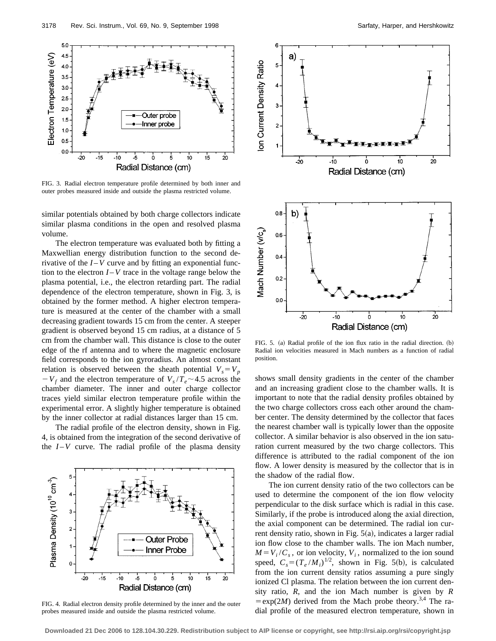

FIG. 3. Radial electron temperature profile determined by both inner and outer probes measured inside and outside the plasma restricted volume.

similar potentials obtained by both charge collectors indicate similar plasma conditions in the open and resolved plasma volume.

The electron temperature was evaluated both by fitting a Maxwellian energy distribution function to the second derivative of the  $I - V$  curve and by fitting an exponential function to the electron  $I - V$  trace in the voltage range below the plasma potential, i.e., the electron retarding part. The radial dependence of the electron temperature, shown in Fig. 3, is obtained by the former method. A higher electron temperature is measured at the center of the chamber with a small decreasing gradient towards 15 cm from the center. A steeper gradient is observed beyond 15 cm radius, at a distance of 5 cm from the chamber wall. This distance is close to the outer edge of the rf antenna and to where the magnetic enclosure field corresponds to the ion gyroradius. An almost constant relation is observed between the sheath potential  $V_s = V_p$  $-V_f$  and the electron temperature of  $V_s/T_e \sim 4.5$  across the chamber diameter. The inner and outer charge collector traces yield similar electron temperature profile within the experimental error. A slightly higher temperature is obtained by the inner collector at radial distances larger than 15 cm.

The radial profile of the electron density, shown in Fig. 4, is obtained from the integration of the second derivative of the  $I-V$  curve. The radial profile of the plasma density



FIG. 4. Radial electron density profile determined by the inner and the outer probes measured inside and outside the plasma restricted volume.



FIG. 5. (a) Radial profile of the ion flux ratio in the radial direction.  $(b)$ Radial ion velocities measured in Mach numbers as a function of radial position.

shows small density gradients in the center of the chamber and an increasing gradient close to the chamber walls. It is important to note that the radial density profiles obtained by the two charge collectors cross each other around the chamber center. The density determined by the collector that faces the nearest chamber wall is typically lower than the opposite collector. A similar behavior is also observed in the ion saturation current measured by the two charge collectors. This difference is attributed to the radial component of the ion flow. A lower density is measured by the collector that is in the shadow of the radial flow.

The ion current density ratio of the two collectors can be used to determine the component of the ion flow velocity perpendicular to the disk surface which is radial in this case. Similarly, if the probe is introduced along the axial direction, the axial component can be determined. The radial ion current density ratio, shown in Fig.  $5(a)$ , indicates a larger radial ion flow close to the chamber walls. The ion Mach number,  $M = V_i / C_s$ , or ion velocity,  $V_i$ , normalized to the ion sound speed,  $C_s = (T_e / M_i)^{1/2}$ , shown in Fig. 5(b), is calculated from the ion current density ratios assuming a pure singly ionized Cl plasma. The relation between the ion current density ratio, *R*, and the ion Mach number is given by *R*  $= \exp(2M)$  derived from the Mach probe theory.<sup>3,4</sup> The radial profile of the measured electron temperature, shown in

**Downloaded 21 Dec 2006 to 128.104.30.229. Redistribution subject to AIP license or copyright, see http://rsi.aip.org/rsi/copyright.jsp**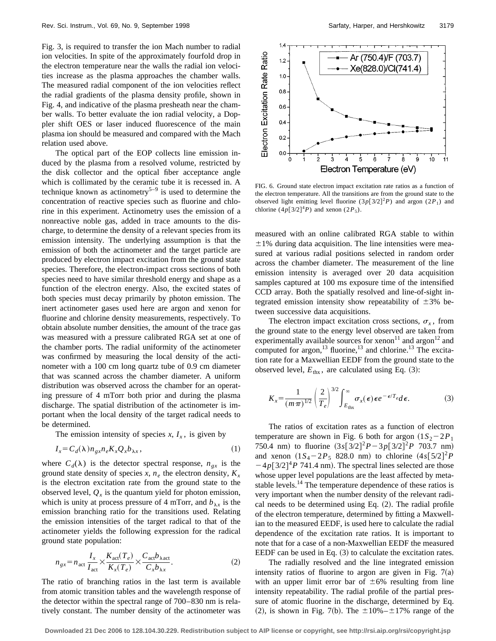Fig. 3, is required to transfer the ion Mach number to radial ion velocities. In spite of the approximately fourfold drop in the electron temperature near the walls the radial ion velocities increase as the plasma approaches the chamber walls. The measured radial component of the ion velocities reflect the radial gradients of the plasma density profile, shown in Fig. 4, and indicative of the plasma presheath near the chamber walls. To better evaluate the ion radial velocity, a Doppler shift OES or laser induced fluorescence of the main plasma ion should be measured and compared with the Mach relation used above.

The optical part of the EOP collects line emission induced by the plasma from a resolved volume, restricted by the disk collector and the optical fiber acceptance angle which is collimated by the ceramic tube it is recessed in. A technique known as actinometry<sup>5-9</sup> is used to determine the concentration of reactive species such as fluorine and chlorine in this experiment. Actinometry uses the emission of a nonreactive noble gas, added in trace amounts to the discharge, to determine the density of a relevant species from its emission intensity. The underlying assumption is that the emission of both the actinometer and the target particle are produced by electron impact excitation from the ground state species. Therefore, the electron-impact cross sections of both species need to have similar threshold energy and shape as a function of the electron energy. Also, the excited states of both species must decay primarily by photon emission. The inert actinometer gases used here are argon and xenon for fluorine and chlorine density measurements, respectively. To obtain absolute number densities, the amount of the trace gas was measured with a pressure calibrated RGA set at one of the chamber ports. The radial uniformity of the actinometer was confirmed by measuring the local density of the actinometer with a 100 cm long quartz tube of 0.9 cm diameter that was scanned across the chamber diameter. A uniform distribution was observed across the chamber for an operating pressure of 4 mTorr both prior and during the plasma discharge. The spatial distribution of the actinometer is important when the local density of the target radical needs to be determined.

The emission intensity of species  $x$ ,  $I_x$ , is given by

$$
I_x = C_d(\lambda) n_{gx} n_e K_x Q_x b_{\lambda x}, \qquad (1)
$$

where  $C_d(\lambda)$  is the detector spectral response,  $n_{gx}$  is the ground state density of species *x*,  $n_e$  the electron density,  $K_x$ is the electron excitation rate from the ground state to the observed level,  $Q_x$  is the quantum yield for photon emission, which is unity at process pressure of 4 mTorr, and  $b_{\lambda x}$  is the emission branching ratio for the transitions used. Relating the emission intensities of the target radical to that of the actinometer yields the following expression for the radical ground state population:

$$
n_{gx} = n_{\text{act}} \frac{I_x}{I_{\text{act}}} \times \frac{K_{\text{act}}(T_e)}{K_x(T_e)} \times \frac{C_{\text{act}}b_{\text{Aact}}}{C_x b_{\text{A}}x}.
$$
 (2)

The ratio of branching ratios in the last term is available from atomic transition tables and the wavelength response of the detector within the spectral range of 700–830 nm is relatively constant. The number density of the actinometer was



FIG. 6. Ground state electron impact excitation rate ratios as a function of the electron temperature. All the transitions are from the ground state to the observed light emitting level fluorine  $(3p[3/2]^2P)$  and argon  $(2P_1)$  and chlorine  $(4p[3/2]^4P)$  and xenon  $(2P_5)$ .

measured with an online calibrated RGA stable to within  $\pm$ 1% during data acquisition. The line intensities were measured at various radial positions selected in random order across the chamber diameter. The measurement of the line emission intensity is averaged over 20 data acquisition samples captured at 100 ms exposure time of the intensified CCD array. Both the spatially resolved and line-of-sight integrated emission intensity show repeatability of  $\pm 3\%$  between successive data acquisitions.

The electron impact excitation cross sections,  $\sigma_x$ , from the ground state to the energy level observed are taken from experimentally available sources for xenon<sup>11</sup> and argon<sup>12</sup> and computed for argon,<sup>13</sup> fluorine,<sup>13</sup> and chlorine.<sup>13</sup> The excitation rate for a Maxwellian EEDF from the ground state to the observed level,  $E_{\text{thx}}$ , are calculated using Eq.  $(3)$ :

$$
K_{x} = \frac{1}{(m\,\pi)^{1/2}} \left(\frac{2}{T_{e}}\right)^{3/2} \int_{E_{\text{thx}}}^{\infty} \sigma_{x}(\epsilon) \epsilon e^{-\epsilon/T_{e}} d\epsilon.
$$
 (3)

The ratios of excitation rates as a function of electron temperature are shown in Fig. 6 both for argon  $(1S_2 - 2P_1)$ 750.4 nm) to fluorine  $(3s[3/2]^2P - 3p[3/2]^2P$  703.7 nm) and xenon  $(1S_4 - 2P_5 \ 828.0 \ nm)$  to chlorine  $(4s[5/2]^2 P_5$  $-4p[3/2]^4P$  741.4 nm). The spectral lines selected are those whose upper level populations are the least affected by metastable levels.<sup>14</sup> The temperature dependence of these ratios is very important when the number density of the relevant radical needs to be determined using Eq.  $(2)$ . The radial profile of the electron temperature, determined by fitting a Maxwellian to the measured EEDF, is used here to calculate the radial dependence of the excitation rate ratios. It is important to note that for a case of a non-Maxwellian EEDF the measured EEDF can be used in Eq.  $(3)$  to calculate the excitation rates.

The radially resolved and the line integrated emission intensity ratios of fluorine to argon are given in Fig.  $7(a)$ with an upper limit error bar of  $\pm 6\%$  resulting from line intensity repeatability. The radial profile of the partial pressure of atomic fluorine in the discharge, determined by Eq. (2), is shown in Fig. 7(b). The  $\pm 10\% - \pm 17\%$  range of the